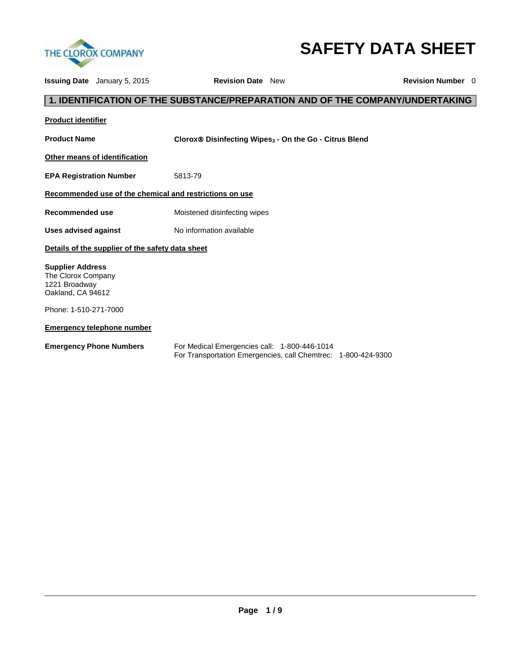

# **SAFETY DATA SHEET**

**Issuing Date** January 5, 2015 **Revision Date** New **Revision Number** 0 **1. IDENTIFICATION OF THE SUBSTANCE/PREPARATION AND OF THE COMPANY/UNDERTAKING Product identifier Product Name Clorox Disinfecting Wipes<sup>3</sup> - On the Go - Citrus Blend Other means of identification EPA Registration Number** 5813-79 **Recommended use of the chemical and restrictions on use Recommended use** Moistened disinfecting wipes Uses advised against **No information available Details of the supplier of the safety data sheet Supplier Address** The Clorox Company 1221 Broadway Oakland, CA 94612 Phone: 1-510-271-7000 **Emergency telephone number Emergency Phone Numbers** For Medical Emergencies call: 1-800-446-1014 For Transportation Emergencies, call Chemtrec: 1-800-424-9300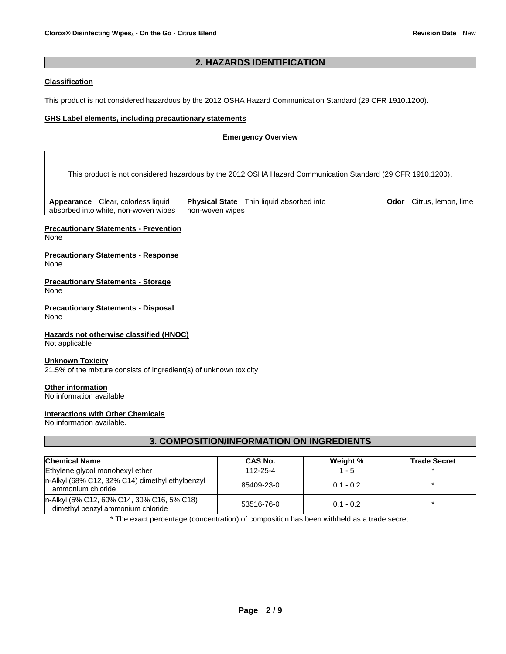## **2. HAZARDS IDENTIFICATION**

## **Classification**

This product is not considered hazardous by the 2012 OSHA Hazard Communication Standard (29 CFR 1910.1200).

## **GHS Label elements, including precautionary statements**

## **Emergency Overview**

This product is not considered hazardous by the 2012 OSHA Hazard Communication Standard (29 CFR 1910.1200).

**Appearance** Clear, colorless liquid absorbed into white, non-woven wipes **Physical State** Thin liquid absorbed into non-woven wipes

**Odor** Citrus, lemon, lime

# **Precautionary Statements - Prevention**

None

### **Precautionary Statements - Response** None

**Precautionary Statements - Storage** None

**Precautionary Statements - Disposal** None

## **Hazards not otherwise classified (HNOC)**

Not applicable

## **Unknown Toxicity**

21.5% of the mixture consists of ingredient(s) of unknown toxicity

## **Other information**

No information available

## **Interactions with Other Chemicals**

No information available.

# **3. COMPOSITION/INFORMATION ON INGREDIENTS**

| <b>Chemical Name</b>                                                            | CAS No.    | Weight %    | <b>Trade Secret</b> |
|---------------------------------------------------------------------------------|------------|-------------|---------------------|
| Ethylene glycol monohexyl ether                                                 | 112-25-4   | 1 - 5       |                     |
| n-Alkyl (68% C12, 32% C14) dimethyl ethylbenzyl<br>ammonium chloride            | 85409-23-0 | $0.1 - 0.2$ |                     |
| n-Alkyl (5% C12, 60% C14, 30% C16, 5% C18)<br>dimethyl benzyl ammonium chloride | 53516-76-0 | $0.1 - 0.2$ |                     |

\* The exact percentage (concentration) of composition has been withheld as a trade secret.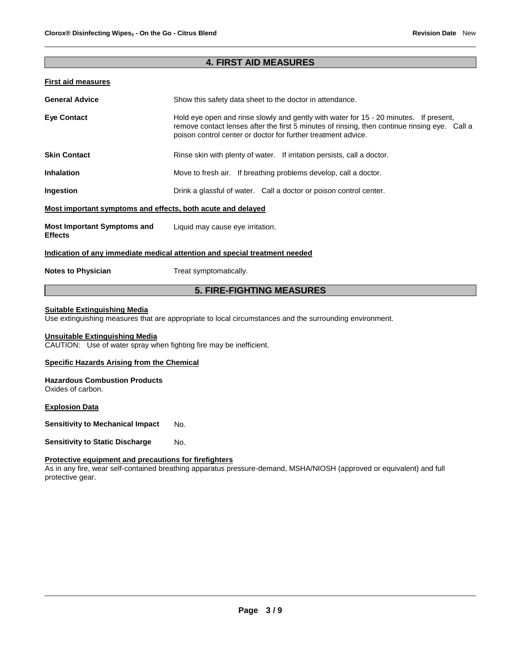## **4. FIRST AID MEASURES**

## **First aid measures**

| <b>General Advice</b>                                       | Show this safety data sheet to the doctor in attendance.                                                                                                                                                                                                |
|-------------------------------------------------------------|---------------------------------------------------------------------------------------------------------------------------------------------------------------------------------------------------------------------------------------------------------|
| <b>Eye Contact</b>                                          | Hold eye open and rinse slowly and gently with water for 15 - 20 minutes. If present,<br>remove contact lenses after the first 5 minutes of rinsing, then continue rinsing eye. Call a<br>poison control center or doctor for further treatment advice. |
| <b>Skin Contact</b>                                         | Rinse skin with plenty of water. If irritation persists, call a doctor.                                                                                                                                                                                 |
| <b>Inhalation</b>                                           | Move to fresh air. If breathing problems develop, call a doctor.                                                                                                                                                                                        |
| Ingestion                                                   | Drink a glassful of water. Call a doctor or poison control center.                                                                                                                                                                                      |
| Most important symptoms and effects, both acute and delayed |                                                                                                                                                                                                                                                         |
| <b>Most Important Symptoms and</b><br><b>Effects</b>        | Liquid may cause eye irritation.                                                                                                                                                                                                                        |
|                                                             | Indication of any immediate medical attention and special treatment needed                                                                                                                                                                              |
| <b>Notes to Physician</b>                                   | Treat symptomatically.                                                                                                                                                                                                                                  |

# **5. FIRE-FIGHTING MEASURES**

## **Suitable Extinguishing Media**

Use extinguishing measures that are appropriate to local circumstances and the surrounding environment.

## **Unsuitable Extinguishing Media**

CAUTION: Use of water spray when fighting fire may be inefficient.

## **Specific Hazards Arising from the Chemical**

#### **Hazardous Combustion Products** Oxides of carbon.

**Explosion Data**

**Sensitivity to Mechanical Impact No.** 

**Sensitivity to Static Discharge Mo.** 

## **Protective equipment and precautions for firefighters**

As in any fire, wear self-contained breathing apparatus pressure-demand, MSHA/NIOSH (approved or equivalent) and full protective gear.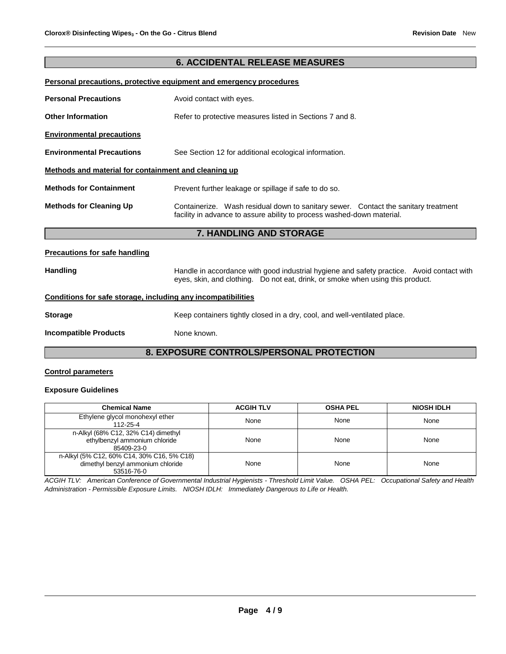## **6. ACCIDENTAL RELEASE MEASURES**

## **Personal precautions, protective equipment and emergency procedures**

|                                                      | 7. HANDLING AND STORAGE                                                                                                                                      |  |
|------------------------------------------------------|--------------------------------------------------------------------------------------------------------------------------------------------------------------|--|
|                                                      |                                                                                                                                                              |  |
| <b>Methods for Cleaning Up</b>                       | Containerize. Wash residual down to sanitary sewer. Contact the sanitary treatment<br>facility in advance to assure ability to process washed-down material. |  |
| <b>Methods for Containment</b>                       | Prevent further leakage or spillage if safe to do so.                                                                                                        |  |
| Methods and material for containment and cleaning up |                                                                                                                                                              |  |
| <b>Environmental Precautions</b>                     | See Section 12 for additional ecological information.                                                                                                        |  |
| <b>Environmental precautions</b>                     |                                                                                                                                                              |  |
| <b>Other Information</b>                             | Refer to protective measures listed in Sections 7 and 8.                                                                                                     |  |
| <b>Personal Precautions</b>                          | Avoid contact with eyes.                                                                                                                                     |  |

#### **Precautions for safe handling**

Handling **Handle in accordance with good industrial hygiene and safety practice. Avoid contact with** eyes, skin, and clothing. Do not eat, drink, or smoke when using this product.

## **Conditions for safe storage, including any incompatibilities**

| Storage | Keep containers tightly closed in a dry, cool, and well-ventilated place. |  |
|---------|---------------------------------------------------------------------------|--|

**Incompatible Products** None known.

## **8. EXPOSURE CONTROLS/PERSONAL PROTECTION**

## **Control parameters**

#### **Exposure Guidelines**

| <b>Chemical Name</b>                                                                          | <b>ACGIH TLV</b> | <b>OSHA PEL</b> | <b>NIOSH IDLH</b> |
|-----------------------------------------------------------------------------------------------|------------------|-----------------|-------------------|
| Ethylene glycol monohexyl ether<br>112-25-4                                                   | None             | None            | None              |
| n-Alkyl (68% C12, 32% C14) dimethyl<br>ethylbenzyl ammonium chloride<br>85409-23-0            | None             | None            | None              |
| n-Alkyl (5% C12, 60% C14, 30% C16, 5% C18)<br>dimethyl benzyl ammonium chloride<br>53516-76-0 | None             | None            | None              |

*ACGIH TLV: American Conference of Governmental Industrial Hygienists - Threshold Limit Value. OSHA PEL: Occupational Safety and Health Administration - Permissible Exposure Limits. NIOSH IDLH: Immediately Dangerous to Life or Health.*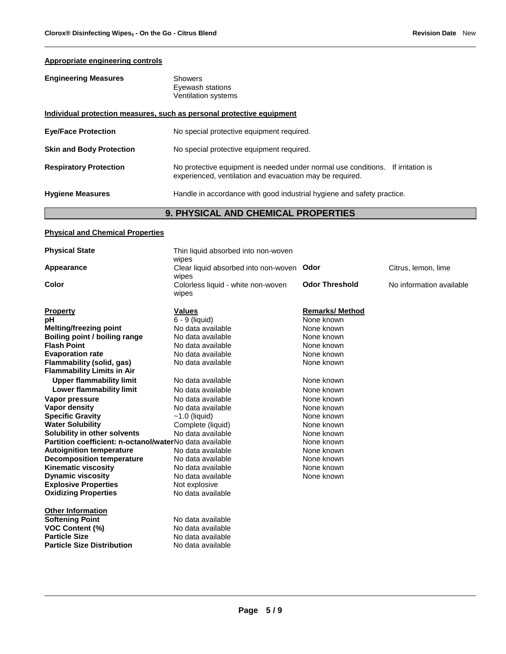## **Appropriate engineering controls**

| <b>Engineering Measures</b>                                           | Showers<br>Eyewash stations<br>Ventilation systems                                                                                             |  |
|-----------------------------------------------------------------------|------------------------------------------------------------------------------------------------------------------------------------------------|--|
| Individual protection measures, such as personal protective equipment |                                                                                                                                                |  |
| <b>Eye/Face Protection</b>                                            | No special protective equipment required.                                                                                                      |  |
| <b>Skin and Body Protection</b>                                       | No special protective equipment required.                                                                                                      |  |
| <b>Respiratory Protection</b>                                         | No protective equipment is needed under normal use conditions.<br>If irritation is<br>experienced, ventilation and evacuation may be required. |  |
| <b>Hygiene Measures</b>                                               | Handle in accordance with good industrial hygiene and safety practice.                                                                         |  |
| <b>9. PHYSICAL AND CHEMICAL PROPERTIES</b>                            |                                                                                                                                                |  |

## **Physical and Chemical Properties**

| <b>Physical State</b>                                          | Thin liquid absorbed into non-woven<br>wipes       |                       |                          |
|----------------------------------------------------------------|----------------------------------------------------|-----------------------|--------------------------|
| Appearance                                                     | Clear liquid absorbed into non-woven Odor<br>wipes |                       | Citrus, lemon, lime      |
| Color                                                          | Colorless liquid - white non-woven<br>wipes        | <b>Odor Threshold</b> | No information available |
| <b>Property</b>                                                | <b>Values</b>                                      | <b>Remarks/Method</b> |                          |
| рH                                                             | $\overline{6}$ - 9 (liquid)                        | None known            |                          |
| Melting/freezing point                                         | No data available                                  | None known            |                          |
| Boiling point / boiling range                                  | No data available                                  | None known            |                          |
| <b>Flash Point</b>                                             | No data available                                  | None known            |                          |
| <b>Evaporation rate</b>                                        | No data available                                  | None known            |                          |
| Flammability (solid, gas)<br><b>Flammability Limits in Air</b> | No data available                                  | None known            |                          |
| <b>Upper flammability limit</b>                                | No data available                                  | None known            |                          |
| Lower flammability limit                                       | No data available                                  | None known            |                          |
| Vapor pressure                                                 | No data available                                  | None known            |                          |
| Vapor density                                                  | No data available                                  | None known            |                          |
| <b>Specific Gravity</b>                                        | $~1.0$ (liquid)                                    | None known            |                          |
| <b>Water Solubility</b>                                        | Complete (liquid)                                  | None known            |                          |
| Solubility in other solvents                                   | No data available                                  | None known            |                          |
| Partition coefficient: n-octanol/waterNo data available        |                                                    | None known            |                          |
| <b>Autoignition temperature</b>                                | No data available                                  | None known            |                          |
| <b>Decomposition temperature</b>                               | No data available                                  | None known            |                          |
| <b>Kinematic viscosity</b>                                     | No data available                                  | None known            |                          |
| <b>Dynamic viscosity</b>                                       | No data available                                  | None known            |                          |
| <b>Explosive Properties</b>                                    | Not explosive                                      |                       |                          |
| <b>Oxidizing Properties</b>                                    | No data available                                  |                       |                          |
| <b>Other Information</b>                                       |                                                    |                       |                          |
| <b>Softening Point</b>                                         | No data available                                  |                       |                          |
| <b>VOC Content (%)</b>                                         | No data available                                  |                       |                          |
| <b>Particle Size</b>                                           | No data available                                  |                       |                          |
| <b>Particle Size Distribution</b>                              | No data available                                  |                       |                          |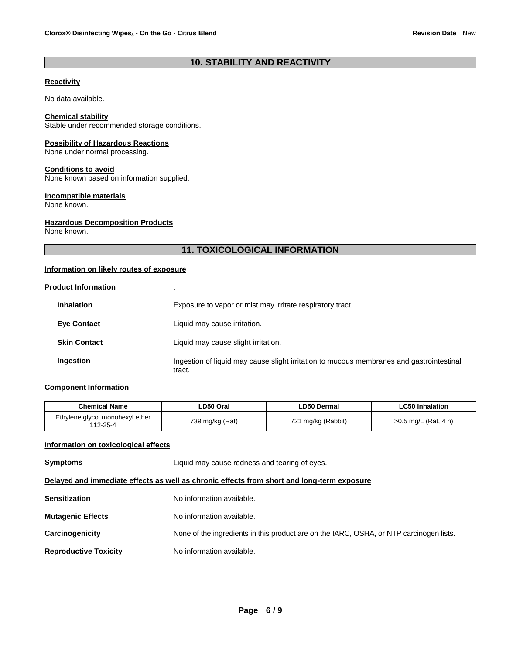## **10. STABILITY AND REACTIVITY**

## **Reactivity**

No data available.

#### **Chemical stability**

Stable under recommended storage conditions.

## **Possibility of Hazardous Reactions**

None under normal processing.

#### **Conditions to avoid**

None known based on information supplied.

#### **Incompatible materials**

None known.

### **Hazardous Decomposition Products**

None known.

## **11. TOXICOLOGICAL INFORMATION**

## **Information on likely routes of exposure**

| <b>Product Information</b> |                                                                                                    |
|----------------------------|----------------------------------------------------------------------------------------------------|
| <b>Inhalation</b>          | Exposure to vapor or mist may irritate respiratory tract.                                          |
| <b>Eye Contact</b>         | Liquid may cause irritation.                                                                       |
| <b>Skin Contact</b>        | Liquid may cause slight irritation.                                                                |
| Ingestion                  | Ingestion of liquid may cause slight irritation to mucous membranes and gastrointestinal<br>tract. |

## **Component Information**

| <b>Chemical Name</b>                        | LD50 Oral       | LD50 Dermal        | LC50 Inhalation        |
|---------------------------------------------|-----------------|--------------------|------------------------|
| Ethylene glycol monohexyl ether<br>112-25-4 | 739 mg/kg (Rat) | 721 mg/kg (Rabbit) | $>0.5$ mg/L (Rat, 4 h) |

## **Information on toxicological effects**

| <b>Symptoms</b>                                                                            | Liquid may cause redness and tearing of eyes.                                           |  |
|--------------------------------------------------------------------------------------------|-----------------------------------------------------------------------------------------|--|
| Delayed and immediate effects as well as chronic effects from short and long-term exposure |                                                                                         |  |
| <b>Sensitization</b>                                                                       | No information available.                                                               |  |
| <b>Mutagenic Effects</b>                                                                   | No information available.                                                               |  |
| Carcinogenicity                                                                            | None of the ingredients in this product are on the IARC, OSHA, or NTP carcinogen lists. |  |
| <b>Reproductive Toxicity</b>                                                               | No information available.                                                               |  |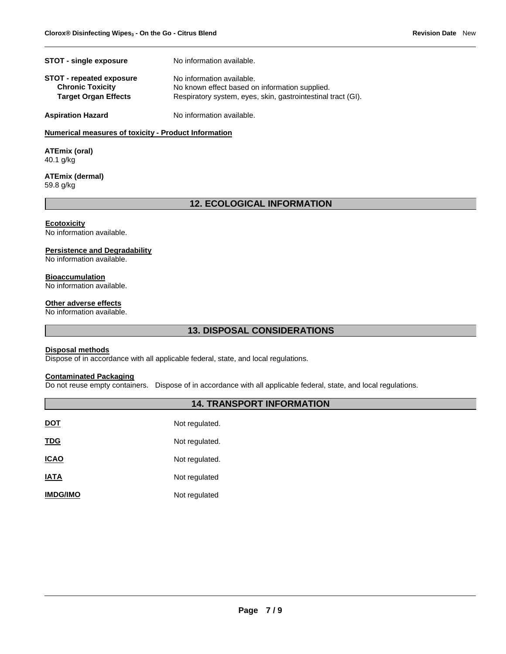| <b>STOT - single exposure</b>                              | No information available.                                                   |
|------------------------------------------------------------|-----------------------------------------------------------------------------|
| <b>STOT - repeated exposure</b><br><b>Chronic Toxicity</b> | No information available.<br>No known effect based on information supplied. |
| <b>Target Organ Effects</b>                                | Respiratory system, eyes, skin, gastrointestinal tract (GI).                |
| <b>Aspiration Hazard</b>                                   | No information available.                                                   |

## **Numerical measures of toxicity - Product Information**

**ATEmix (oral)** 40.1 g/kg

#### **ATEmix (dermal)** 59.8 g/kg

## **12. ECOLOGICAL INFORMATION**

#### **Ecotoxicity**

No information available.

#### **Persistence and Degradability**

No information available.

#### **Bioaccumulation**

No information available.

## **Other adverse effects**

No information available.

# **13. DISPOSAL CONSIDERATIONS**

## **Disposal methods**

Dispose of in accordance with all applicable federal, state, and local regulations.

## **Contaminated Packaging**

Do not reuse empty containers. Dispose of in accordance with all applicable federal, state, and local regulations.

## **14. TRANSPORT INFORMATION**

| DOT             | Not regulated. |
|-----------------|----------------|
| <u>TDG</u>      | Not regulated. |
| <b>ICAO</b>     | Not regulated. |
| IATA            | Not regulated  |
| <b>IMDG/IMO</b> | Not regulated  |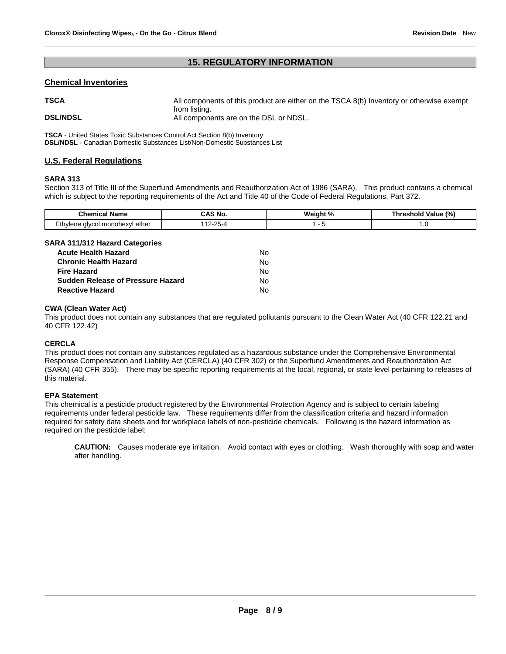## **15. REGULATORY INFORMATION**

## **Chemical Inventories**

| <b>TSCA</b>     | All components of this product are either on the TSCA 8(b) Inventory or otherwise exempt |
|-----------------|------------------------------------------------------------------------------------------|
| <b>DSL/NDSL</b> | from listing.<br>All components are on the DSL or NDSL.                                  |

**TSCA** - United States Toxic Substances Control Act Section 8(b) Inventory **DSL/NDSL** - Canadian Domestic Substances List/Non-Domestic Substances List

## **U.S. Federal Regulations**

## **SARA 313**

Section 313 of Title III of the Superfund Amendments and Reauthorization Act of 1986 (SARA). This product contains a chemical which is subject to the reporting requirements of the Act and Title 40 of the Code of Federal Regulations, Part 372.

| Chem<br>Nam∈                               | ' No   | w.<br>. د ه<br>- 70 | (%)<br>----<br>raiue<br>nre<br>nor |  |  |
|--------------------------------------------|--------|---------------------|------------------------------------|--|--|
| −thvlene<br>ether<br>a monohexyl<br>alvcol | ______ |                     | <b></b>                            |  |  |

## **SARA 311/312 Hazard Categories**

| <b>Acute Health Hazard</b>        | N٥ |
|-----------------------------------|----|
| <b>Chronic Health Hazard</b>      | N٥ |
| <b>Fire Hazard</b>                | N٥ |
| Sudden Release of Pressure Hazard | N٥ |
| <b>Reactive Hazard</b>            | N٥ |

## **CWA (Clean Water Act)**

This product does not contain any substances that are regulated pollutants pursuant to the Clean Water Act (40 CFR 122.21 and 40 CFR 122.42)

## **CERCLA**

This product does not contain any substances regulated as a hazardous substance under the Comprehensive Environmental Response Compensation and Liability Act (CERCLA) (40 CFR 302) or the Superfund Amendments and Reauthorization Act (SARA) (40 CFR 355). There may be specific reporting requirements at the local, regional, or state level pertaining to releases of this material.

## **EPA Statement**

This chemical is a pesticide product registered by the Environmental Protection Agency and is subject to certain labeling requirements under federal pesticide law. These requirements differ from the classification criteria and hazard information required for safety data sheets and for workplace labels of non-pesticide chemicals. Following is the hazard information as required on the pesticide label:

**CAUTION:** Causes moderate eye irritation. Avoid contact with eyes or clothing. Wash thoroughly with soap and water after handling.